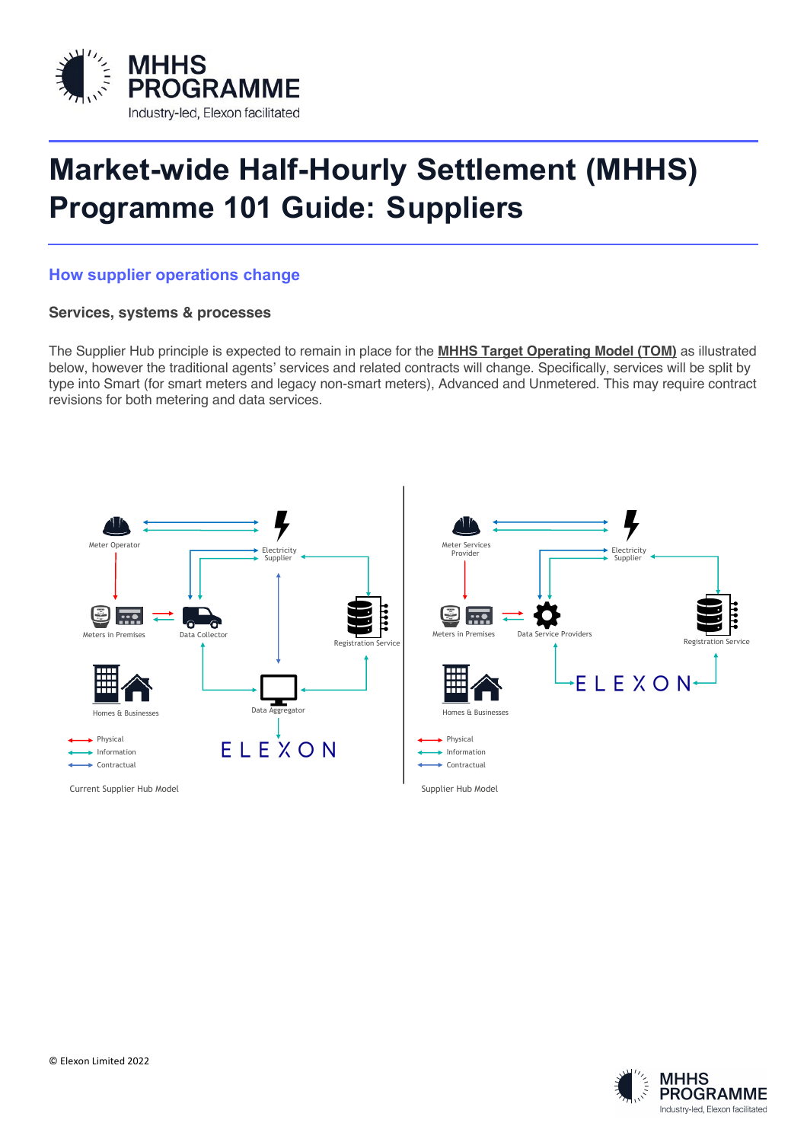

# **Market-wide Half-Hourly Settlement (MHHS) Programme 101 Guide: Suppliers**

## **How supplier operations change**

### **Services, systems & processes**

The Supplier Hub principle is expected to remain in place for the **MHHS Target Operating Model (TOM)** as illustrated below, however the traditional agents' services and related contracts will change. Specifically, services will be split by type into Smart (for smart meters and legacy non-smart meters), Advanced and Unmetered. This may require contract revisions for both metering and data services.



Current Supplier Hub Model **Supplier Hub Model** Supplier Hub Model Supplier Hub Model Supplier Hub Model Supplier Hub Model



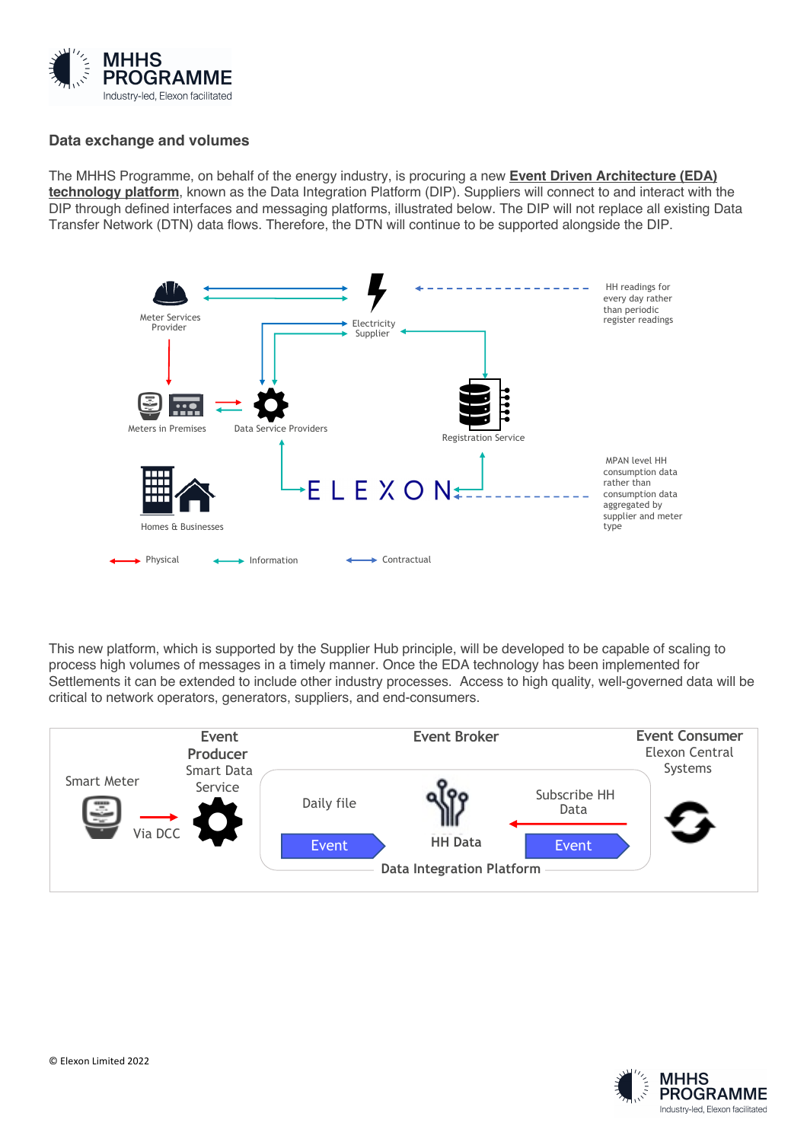

### **Data exchange and volumes**

The MHHS Programme, on behalf of the energy industry, is procuring a new **Event Driven Architecture (EDA) technology platform**, known as the Data Integration Platform (DIP). Suppliers will connect to and interact with the DIP through defined interfaces and messaging platforms, illustrated below. The DIP will not replace all existing Data Transfer Network (DTN) data flows. Therefore, the DTN will continue to be supported alongside the DIP.



This new platform, which is supported by the Supplier Hub principle, will be developed to be capable of scaling to process high volumes of messages in a timely manner. Once the EDA technology has been implemented for Settlements it can be extended to include other industry processes. Access to high quality, well-governed data will be critical to network operators, generators, suppliers, and end-consumers.